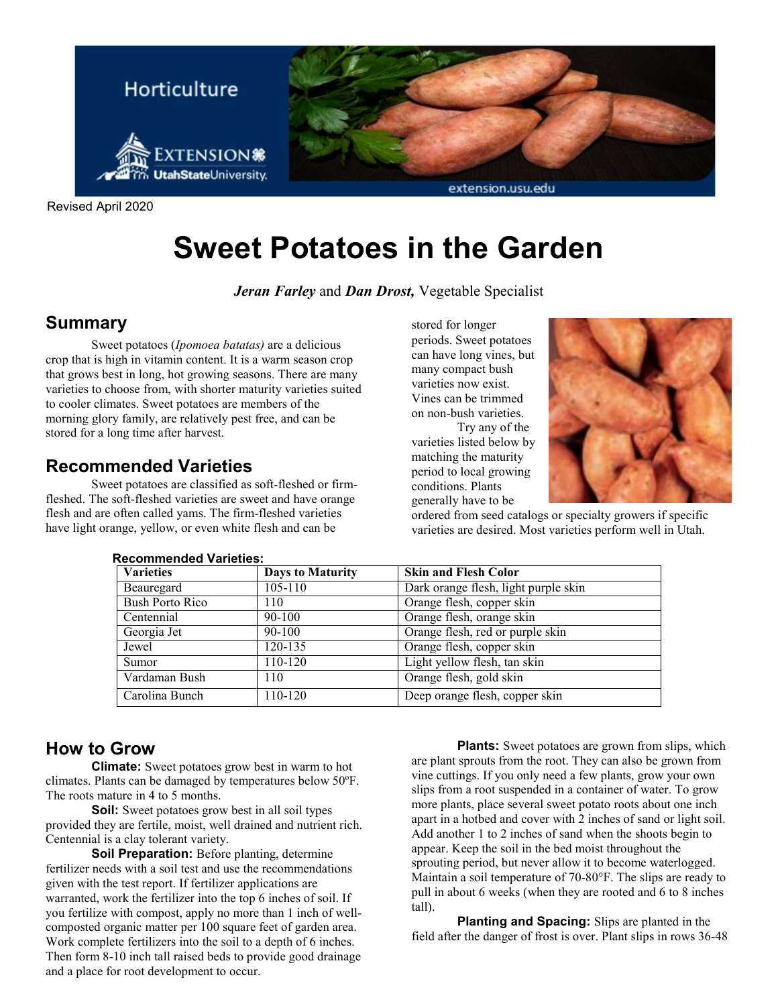

Revised April 2020

# **Sweet Potatoes in the Garden**

#### *Jeran Farley* and *Dan Drost,* Vegetable Specialist

### **Summary**

Sweet potatoes (*Ipomoea batatas)* are a delicious crop that is high in vitamin content. It is a warm season crop that grows best in long, hot growing seasons. There are many varieties to choose from, with shorter maturity varieties suited to cooler climates. Sweet potatoes are members of the morning glory family, are relatively pest free, and can be stored for a long time after harvest.

### **Recommended Varieties**

Sweet potatoes are classified as soft-fleshed or firmfleshed. The soft-fleshed varieties are sweet and have orange flesh and are often called yams. The firm-fleshed varieties have light orange, yellow, or even white flesh and can be

stored for longer periods. Sweet potatoes can have long vines, but many compact bush varieties now exist. Vines can be trimmed on non-bush varieties.

Try any of the varieties listed below by matching the maturity period to local growing conditions. Plants generally have to be



ordered from seed catalogs or specialty growers if specific varieties are desired. Most varieties perform well in Utah.

| <b>Varieties</b> | <b>Days to Maturity</b> | <b>Skin and Flesh Color</b>          |
|------------------|-------------------------|--------------------------------------|
| Beauregard       | 105-110                 | Dark orange flesh, light purple skin |
| Bush Porto Rico  | 110                     | Orange flesh, copper skin            |
| Centennial       | $90 - 100$              | Orange flesh, orange skin            |
| Georgia Jet      | $90 - 100$              | Orange flesh, red or purple skin     |
| Jewel            | 120-135                 | Orange flesh, copper skin            |
| Sumor            | $110 - 120$             | Light yellow flesh, tan skin         |
| Vardaman Bush    | 110                     | Orange flesh, gold skin              |
| Carolina Bunch   | 110-120                 | Deep orange flesh, copper skin       |

#### **Recommended Varieties:**

#### **How to Grow**

**Climate:** Sweet potatoes grow best in warm to hot climates. Plants can be damaged by temperatures below 50ºF. The roots mature in 4 to 5 months.

**Soil:** Sweet potatoes grow best in all soil types provided they are fertile, moist, well drained and nutrient rich. Centennial is a clay tolerant variety.

**Soil Preparation:** Before planting, determine fertilizer needs with a soil test and use the recommendations given with the test report. If fertilizer applications are warranted, work the fertilizer into the top 6 inches of soil. If you fertilize with compost, apply no more than 1 inch of wellcomposted organic matter per 100 square feet of garden area. Work complete fertilizers into the soil to a depth of 6 inches. Then form 8-10 inch tall raised beds to provide good drainage and a place for root development to occur.

**Plants:** Sweet potatoes are grown from slips, which are plant sprouts from the root. They can also be grown from vine cuttings. If you only need a few plants, grow your own slips from a root suspended in a container of water. To grow more plants, place several sweet potato roots about one inch apart in a hotbed and cover with 2 inches of sand or light soil. Add another 1 to 2 inches of sand when the shoots begin to appear. Keep the soil in the bed moist throughout the sprouting period, but never allow it to become waterlogged. Maintain a soil temperature of 70-80°F. The slips are ready to pull in about 6 weeks (when they are rooted and 6 to 8 inches tall).

**Planting and Spacing:** Slips are planted in the field after the danger of frost is over. Plant slips in rows 36-48